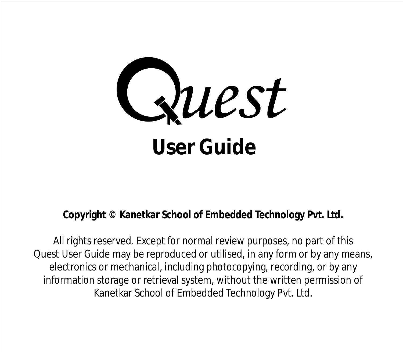

**Copyright © Kanetkar School of Embedded Technology Pvt. Ltd.**

All rights reserved. Except for normal review purposes, no part of this Quest User Guide may be reproduced or utilised, in any form or by any means, electronics or mechanical, including photocopying, recording, or by any information storage or retrieval system, without the written permission of Kanetkar School of Embedded Technology Pvt. Ltd.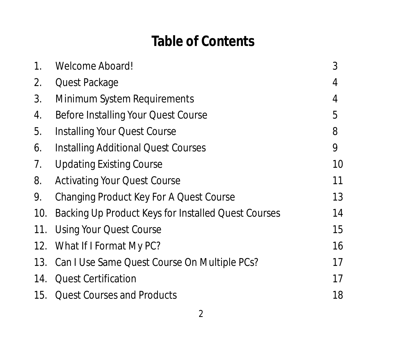# **Table of Contents**

| 1.  | Welcome Aboard!                                     | 3  |
|-----|-----------------------------------------------------|----|
| 2.  | Quest Package                                       | 4  |
| 3.  | Minimum System Requirements                         | 4  |
| 4.  | Before Installing Your Quest Course                 | 5  |
| 5.  | Installing Your Quest Course                        | 8  |
| 6.  | <b>Installing Additional Quest Courses</b>          | 9  |
| 7.  | <b>Updating Existing Course</b>                     | 10 |
| 8.  | <b>Activating Your Quest Course</b>                 | 11 |
| 9.  | Changing Product Key For A Quest Course             | 13 |
| 10. | Backing Up Product Keys for Installed Quest Courses | 14 |
| 11. | <b>Using Your Quest Course</b>                      | 15 |
|     | 12. What If I Format My PC?                         | 16 |
|     | 13. Can I Use Same Quest Course On Multiple PCs?    | 17 |
|     | 14. Quest Certification                             | 17 |
|     | 15. Ouest Courses and Products                      | 18 |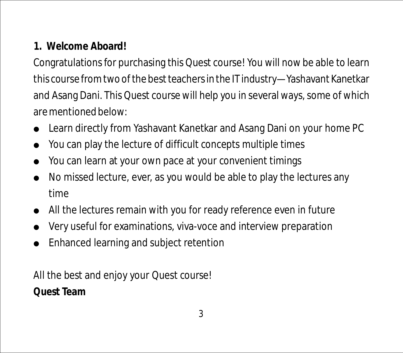# **1. Welcome Aboard!**

Congratulations for purchasing this Quest course! You will now be able to learn this course from two of the best teachers in the IT industry—Yashavant Kanetkar and Asang Dani. This Quest course will help you in several ways, some of which are mentioned below:

- Learn directly from Yashavant Kanetkar and Asang Dani on your home PC
- You can play the lecture of difficult concepts multiple times
- You can learn at your own pace at your convenient timings
- Learn directly from Yashavant Kanetkar and Asang Dani on your nome<br>• You can play the lecture of difficult concepts multiple times<br>• You can learn at your own pace at your convenient timings<br>• No missed lecture, ever, as time
- All the lectures remain with you for ready reference even in future
- Very useful for examinations, viva-voce and interview preparation ● All ti<br>● Very<br>● Enha
- Enhanced learning and subject retention

All the best and enjoy your Quest course! **Quest Team**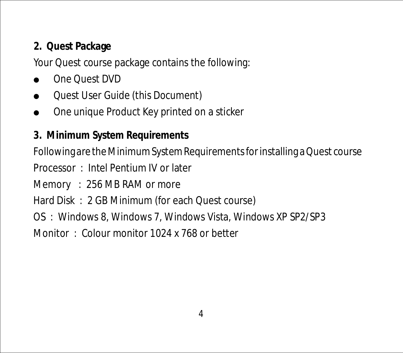# **2. Quest Package**

Your Quest course package contains the following:

- One Quest DVD
- Quest User Guide (this Document) ● On<br>● Qu<sub>i</sub><br>● On
- One unique Product Key printed on a sticker
- **3. Minimum System Requirements**

Following are the Minimum System Requirements for installing a Quest course

Processor : Intel Pentium IV or later

- Memory : 256 MB RAM or more
- Hard Disk : 2 GB Minimum (for each Quest course)
- OS : Windows 8, Windows 7, Windows Vista, Windows XP SP2/SP3

Monitor : Colour monitor 1024 x 768 or better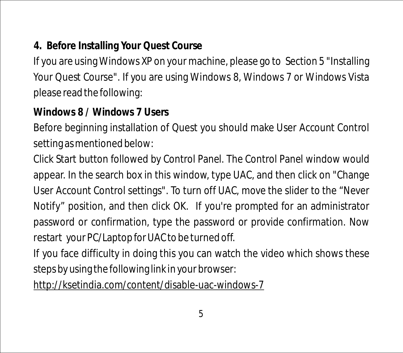# **4. Before Installing Your Quest Course**

If you are using Windows XP on your machine, please go to Section 5 "Installing Your Quest Course". If you are using Windows 8, Windows 7 or Windows Vista please read the following:

**Windows 8 / Windows 7 Users**

Before beginning installation of Quest you should make User Account Control setting as mentioned below:

Click Start button followed by Control Panel. The Control Panel window would appear. In the search box in this window, type UAC, and then click on "Change User Account Control settings". To turn off UAC, move the slider to the "Never Notify" position, and then click OK. If you're prompted for an administrator password or confirmation, type the password or provide confirmation. Now restart your PC/Laptop for UAC to be turned off.

If you face difficulty in doing this you can watch the video which shows these steps by using the following link in your browser:

http://ksetindia.com/content/disable-uac-windows-7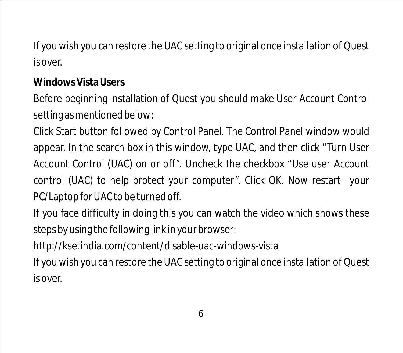If you wish you can restore the UAC setting to original once installation of Quest is over.

**Windows Vista Users**

Before beginning installation of Quest you should make User Account Control setting as mentioned below:

Click Start button followed by Control Panel. The Control Panel window would appear. In the search box in this window, type UAC, and then click "Turn User Account Control (UAC) on or off". Uncheck the checkbox "Use user Account control (UAC) to help protect your computer". Click OK. Now restart your PC/Laptop for UAC to be turned off.

If you face difficulty in doing this you can watch the video which shows these steps by using the following link in your browser:

### http://ksetindia.com/content/disable-uac-windows-vista

If you wish you can restore the UAC setting to original once installation of Quest is over.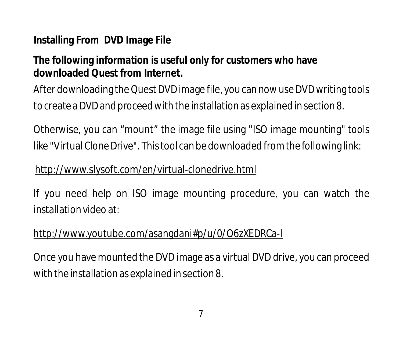### **Installing From DVD Image File**

**The following information is useful only for customers who have downloaded Quest from Internet.**

After downloading the Quest DVD image file, you can now use DVD writing tools to create a DVD and proceed with the installation as explained in section 8.

Otherwise, you can "mount" the image file using "ISO image mounting" tools like "Virtual Clone Drive". This tool can be downloaded from the following link:

#### http://www.slysoft.com/en/virtual-clonedrive.html

If you need help on ISO image mounting procedure, you can watch the installation video at:

#### http://www.youtube.com/asangdani#p/u/0/O6zXEDRCa-I

Once you have mounted the DVD image as a virtual DVD drive, you can proceed with the installation as explained in section 8.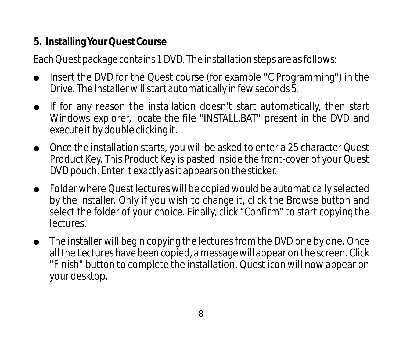**5. Installing Your Quest Course**

Each Quest package contains 1 DVD. The installation steps are as follows:

- Insert the DVD for the Quest course (for example "C Programming") in the Drive. The Installer will start automatically in few seconds 5.
- If for any reason the installation doesn't start automatically, then start Windows explorer, locate the file "INSTALL.BAT" present in the DVD and executeit by double clicking it.
- Once the installation starts, you will be asked to enter a 25 character Quest l Product Key. This Product Key is pasted inside the front-cover of your Quest DVD pouch. Enter it exactly as it appears on the sticker.
- Folder where Quest lectures will be copied would be automatically selected l by the installer. Only if you wish to change it, click the Browse button and select the folder of your choice. Finally, click "Confirm" to start copying the lectures.
- The installer will begin copying the lectures from the DVD one by one. Once lall the Lectures have been copied, a message will appear on the screen. Click "Finish" button to complete the installation. Quest icon will now appear on your desktop.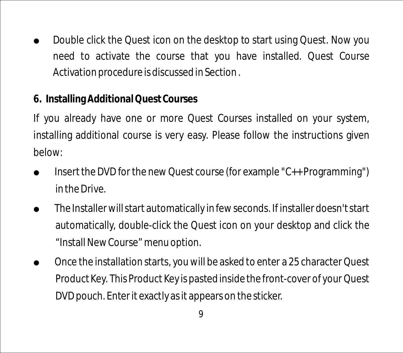- $\bullet$  Double click the Quest icon on the desktop to start using Quest. Now you need to activate the course that you have installed. Quest Course Activation procedure is discussed in Section .
- **6. Installing Additional Quest Courses**

If you already have one or more Quest Courses installed on your system, installing additional course is very easy. Please follow the instructions given below:

- l Insert the DVD for the new Quest course (for example "C++ Programming") in the Drive.
- l The Installer will start automatically in few seconds. If installer doesn't start automatically, double-click the Quest icon on your desktop and click the "Install New Course" menu option.
- l Once the installation starts, you will be asked to enter a 25 character Quest Product Key. This Product Key is pasted inside the front-cover of your Quest DVD pouch. Enter it exactly as it appears on the sticker.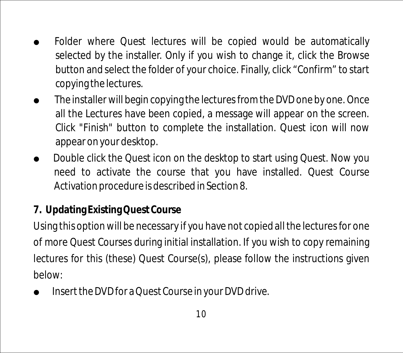- Folder where Quest lectures will be copied would be automatically selected by the installer. Only if you wish to change it, click the Browse button and select the folder of your choice. Finally, click "Confirm" to start copying the lectures.
- $\bullet$  The installer will begin copying the lectures from the DVD one by one. Once all the Lectures have been copied, a message will appear on the screen. Click "Finish" button to complete the installation. Quest icon will now appear on your desktop.
- Double click the Quest icon on the desktop to start using Quest. Now you need to activate the course that you have installed. Quest Course Activation procedure is described in Section 8.
- **7. Updating Existing Quest Course**

Using this option will be necessary if you have not copied all the lectures for one of more Quest Courses during initial installation. If you wish to copy remaining lectures for this (these) Quest Course(s), please follow the instructions given below:

l Insert the DVD for a Quest Course in your DVD drive.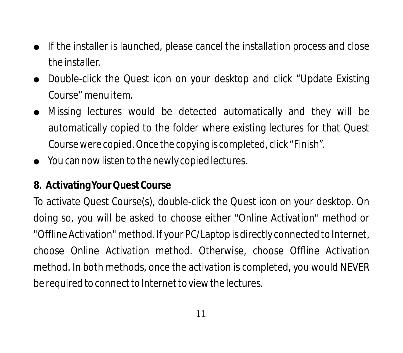- l If the installer is launched, please cancel the installation process and close the installer.
- Double-click the Quest icon on your desktop and click "Update Existing Course" menu item.
- Missing lectures would be detected automatically and they will be automatically copied to the folder where existing lectures for that Quest Course were copied. Once the copying is completed, click "Finish".
- **•** You can now listen to the newly copied lectures.

### **8. Activating Your Quest Course**

To activate Quest Course(s), double-click the Quest icon on your desktop. On doing so, you will be asked to choose either "Online Activation" method or "Offline Activation" method. If your PC/Laptop is directly connected to Internet, choose Online Activation method. Otherwise, choose Offline Activation method. In both methods, once the activation is completed, you would NEVER be required to connect to Internet to view the lectures.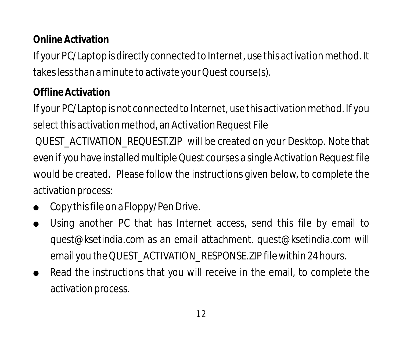# **Online Activation**

If your PC/Laptop is directly connected to Internet, use this activation method. It takes less than a minute to activate your Quest course(s).

#### **Offline Activation**

If your PC/Laptop is not connected to Internet, use this activation method. If you select this activation method, an Activation Request File

QUEST\_ACTIVATION\_REQUEST.ZIP will be created on your Desktop. Note that even if you have installed multiple Quest courses a single Activation Request file would be created. Please follow the instructions given below, to complete the activation process:

- Copy this file on a Floppy/Pen Drive.
- Copythistile on a Floppy/Pen Drive.<br>• Using another PC that has Internet access, send this file by email to quest@ksetindia.com as an email attachment. quest@ksetindia.com will email you the QUEST\_ACTIVATION\_RESPONSE.ZIP file within 24 hours.
- Read the instructions that you will receive in the email, to complete the activation process.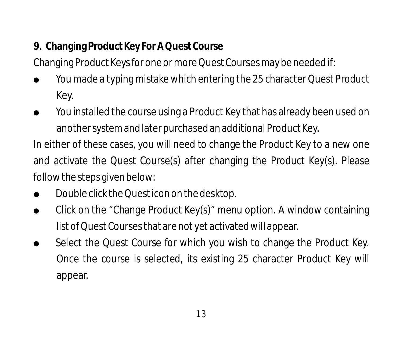**9. Changing Product Key For A Quest Course**

Changing Product Keys for one or more Quest Courses may be needed if:

- You made a typing mistake which entering the 25 character Quest Product l Key.
- You installed the course using a Product Key that has already been used on l another system and later purchased an additional Product Key.

In either of these cases, you will need to change the Product Key to a new one and activate the Quest Course(s) after changing the Product Key(s). Please follow the steps given below:

- Double click the Quest icon on the desktop.
- Double click the Quest icon on the desktop.<br>● Click on the "Change Product Key(s)" menu option. A window containing list of Quest Courses that are not yet activated will appear.
- Select the Quest Course for which you wish to change the Product Key. Once the course is selected, its existing 25 character Product Key will appear.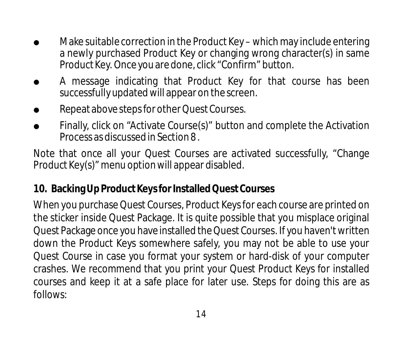- l Make suitable correction in the Product Key which may include entering a newly purchased Product Key or changing wrong character(s) in same Product Key. Once you are done, click "Confirm" button.
- A message indicating that Product Key for that course has been successfully updated will appear on the screen.
- Repeat above steps for other Quest Courses.
- Repeat above steps for other Quest Courses.<br>● Finally, click on "Activate Course(s)" button and complete the Activation Process as discussed in Section 8 .

Note that once all your Quest Courses are activated successfully, "Change Product Key(s)" menu option will appear disabled.

#### **10. Backing Up Product Keys for Installed Quest Courses**

When you purchase Quest Courses, Product Keys for each course are printed on the sticker inside Quest Package. It is quite possible that you misplace original Quest Package once you have installed the Quest Courses. If you haven't written down the Product Keys somewhere safely, you may not be able to use your Quest Course in case you format your system or hard-disk of your computer crashes. We recommend that you print your Quest Product Keys for installed courses and keep it at a safe place for later use. Steps for doing this are as follows: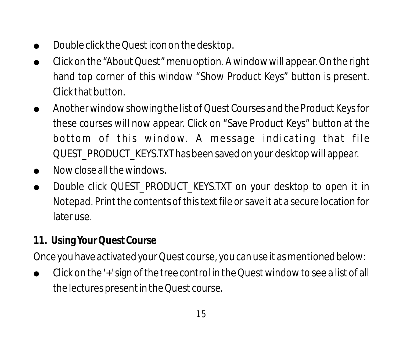- Double click the Quest icon on the desktop.
- ll Click on the "About Quest" menu option. A window will appear. On the right hand top corner of this window "Show Product Keys" button is present. Click that button.
- Another window showing the list of Quest Courses and the Product Keys for these courses will now appear. Click on "Save Product Keys" button at the bottom of this window. A message indicating that file QUEST\_PRODUCT\_KEYS.TXT has been saved on your desktop will appear.
- Now close all the windows.
- Now close all the windows.<br>● Double click QUEST\_PRODUCT\_KEYS.TXT on your desktop to open it in Notepad. Print the contents of this text file or save it at a secure location for later use.
- **11. Using Your Quest Course**

Once you have activated your Quest course, you can use it as mentioned below:

• Click on the '+' sign of the tree control in the Quest window to see a list of all the lectures present in the Quest course.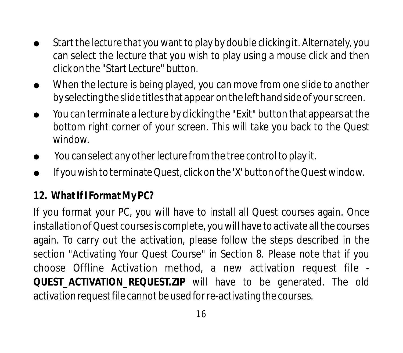- l Start the lecture that you want to play by double clicking it. Alternately, you can select the lecture that you wish to play using a mouse click and then click on the "Start Lecture" button.
- $\bullet$  When the lecture is being played, you can move from one slide to another by selecting the slide titles that appear on the left hand side of your screen.
- $\bullet$  Mou can terminate a lecture by clicking the "Exit" button that appears at the bottom right corner of your screen. This will take you back to the Quest window.
- You can select any other lecture from the tree control to play it.
- You can select any other lecture from the tree control to play it.<br>● If you wish to terminate Quest, click on the 'X' button of the Quest window.

# **12. What If I FormatMy PC?**

If you format your PC, you will have to install all Quest courses again. Once installation of Quest courses is complete, you will have to activate all the courses again. To carry out the activation, please follow the steps described in the section "Activating Your Quest Course" in Section 8. Please note that if you choose Offline Activation method, a new activation request file - **QUEST\_ACTIVATION\_REQUEST.ZIP** will have to be generated. The old activation request file cannot be used for re-activating the courses.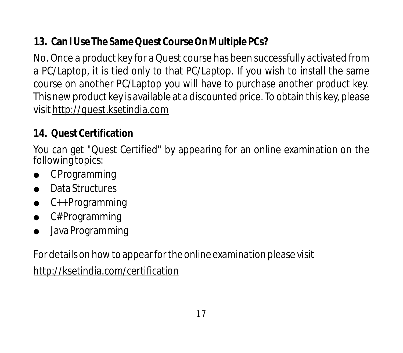**13. Can I Use The Same Quest Course On Multiple PCs?**

No. Once a product key for a Quest course has been successfully activated from a PC/Laptop, it is tied only to that PC/Laptop. If you wish to install the same course on another PC/Laptop you will have to purchase another product key. This new product key is available at a discounted price. To obtain this key, please visit http://quest.ksetindia.com

#### **14. Quest Certification**

You can get "Quest Certified" by appearing for an online examination on the following topics:

- C Programming
- **A** Data Structures
- C++ Programming
- C# Programming ● CPr<br>● Data<br>● C#F<br>● Java
- Java Programming

For details on how to appear for the online examination please visit

http://ksetindia.com/certification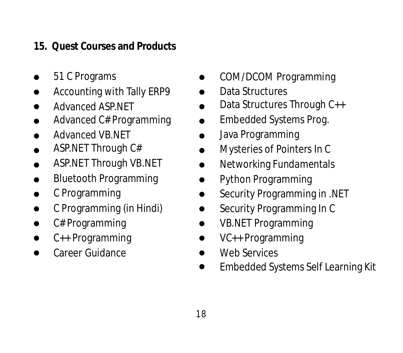#### **15. Quest Courses and Products**

- 51 C Programs
- Accounting with Tally ERP9
- Advanced ASP.NET
- Advanced C# Programming
- Advanced VB.NET
- ASP.NET Through C#
- ASP.NET Through VB.NET  $\bullet$
- Bluetooth Programming  $\bullet$
- C Programming
- C Programming (in Hindi)
- lllllllllllll C# Programming  $\bullet$
- C++ Programming  $\bullet$
- Career Guidance  $\bullet$
- COM/DCOM Programming
- Data Structures
- Data Structures Through C++
- Embedded Systems Prog.
- Java Programming
- Mysteries of Pointers In C
- Networking Fundamentals
- Python Programming
- Security Programming in .NET
- Security Programming In C
- VB.NET Programming
	- VC++ Programming
	- Web Services
- COM/DCOM Programming<br>
 Data Structures<br>
Data Structures Through C++<br>
Embedded Systems Prog.<br>
Java Programming<br>
Mysteries of Pointers In C<br>
 Networking Fundamentals<br>
 Ython Programming in .NET<br>
 Security Programming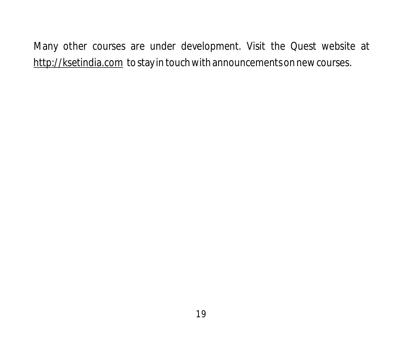Many other courses are under development. Visit the Quest website at http://ksetindia.com to stay in touch with announcements on new courses.